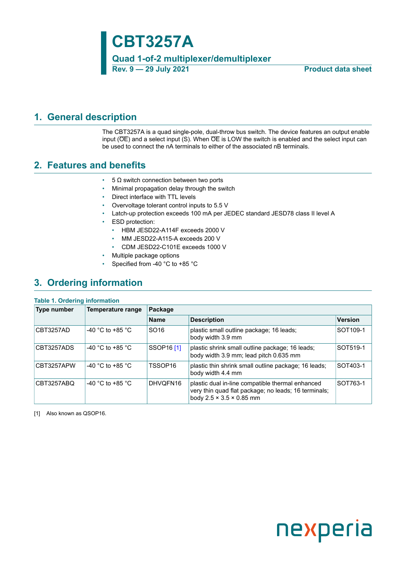**CBT3257A**

**Quad 1-of-2 multiplexer/demultiplexer Rev. 9 — 29 July 2021 Product data sheet**

### <span id="page-0-1"></span>**1. General description**

<span id="page-0-0"></span>The CBT3257A is a quad single-pole, dual-throw bus switch. The device features an output enable input ( $\overline{OE}$ ) and a select input (S). When  $\overline{OE}$  is LOW the switch is enabled and the select input can be used to connect the nA terminals to either of the associated nB terminals.

### <span id="page-0-2"></span>**2. Features and benefits**

- 5 Ω switch connection between two ports
- Minimal propagation delay through the switch
- Direct interface with TTL levels
- Overvoltage tolerant control inputs to 5.5 V
- Latch-up protection exceeds 100 mA per JEDEC standard JESD78 class II level A
- **ESD** protection:
	- HBM JESD22-A114F exceeds 2000 V
	- MM JESD22-A115-A exceeds 200 V
	- CDM JESD22-C101E exceeds 1000 V
- Multiple package options
- Specified from -40 °C to +85 °C

### <span id="page-0-3"></span>**3. Ordering information**

#### **Table 1. Ordering information**

| Type number | Temperature range | Package             |                                                                                                                                                  |                |  |
|-------------|-------------------|---------------------|--------------------------------------------------------------------------------------------------------------------------------------------------|----------------|--|
|             |                   | <b>Name</b>         | <b>Description</b>                                                                                                                               | <b>Version</b> |  |
| CBT3257AD   | -40 °C to +85 °C  | SO <sub>16</sub>    | plastic small outline package; 16 leads;<br>body width 3.9 mm                                                                                    | SOT109-1       |  |
| CBT3257ADS  | -40 °C to +85 °C  | SSOP16 [1]          | plastic shrink small outline package; 16 leads;<br>body width 3.9 mm; lead pitch 0.635 mm                                                        | SOT519-1       |  |
| CBT3257APW  | -40 °C to +85 °C  | TSSOP <sub>16</sub> | plastic thin shrink small outline package; 16 leads;<br>body width 4.4 mm                                                                        | SOT403-1       |  |
| CBT3257ABQ  | -40 °C to +85 °C  | DHVQFN16            | plastic dual in-line compatible thermal enhanced<br>very thin quad flat package; no leads; 16 terminals;<br>body $2.5 \times 3.5 \times 0.85$ mm | SOT763-1       |  |

[1] Also known as QSOP16.

# nexperia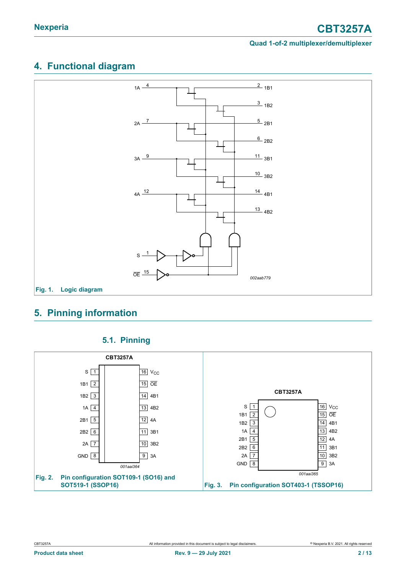# <span id="page-1-0"></span>**4. Functional diagram**



# <span id="page-1-1"></span>**5. Pinning information**



### <span id="page-1-2"></span>**5.1. Pinning**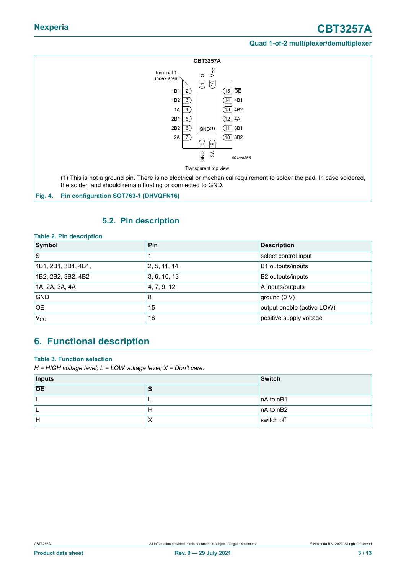# **Nexperia CBT3257A**

#### **Quad 1-of-2 multiplexer/demultiplexer**



### <span id="page-2-0"></span>**5.2. Pin description**

|  | <b>Table 2. Pin description</b> |
|--|---------------------------------|
|  |                                 |

| Symbol              | Pin                        | <b>Description</b>         |
|---------------------|----------------------------|----------------------------|
| ls                  |                            | select control input       |
| 1B1, 2B1, 3B1, 4B1, | $\vert 2, 5, 11, 14 \vert$ | B1 outputs/inputs          |
| 1B2, 2B2, 3B2, 4B2  | 3, 6, 10, 13               | B2 outputs/inputs          |
| 1A, 2A, 3A, 4A      | 4, 7, 9, 12                | A inputs/outputs           |
| <b>GND</b>          | 8                          | ground (0 V)               |
| <b>OE</b>           | 15                         | output enable (active LOW) |
| V <sub>CC</sub>     | 16                         | positive supply voltage    |

# <span id="page-2-1"></span>**6. Functional description**

#### **Table 3. Function selection**

*H = HIGH voltage level; L = LOW voltage level; X = Don't care.*

| Inputs          | Switch |             |
|-----------------|--------|-------------|
| $\overline{OE}$ |        |             |
| ┕               |        | $nA$ to nB1 |
|                 | H      | $nA$ to nB2 |
| lн              | ↗      | switch off  |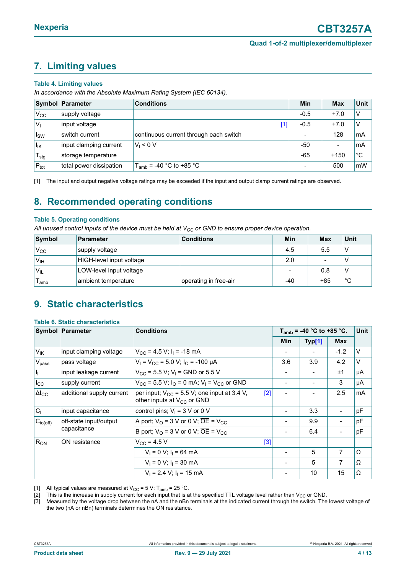# <span id="page-3-2"></span><span id="page-3-0"></span>**7. Limiting values**

#### **Table 4. Limiting values**

*In accordance with the Absolute Maximum Rating System (IEC 60134).*

|                  | Symbol Parameter        | <b>Conditions</b>                      | Min                      | <b>Max</b> | <b>Unit</b> |
|------------------|-------------------------|----------------------------------------|--------------------------|------------|-------------|
| $V_{\rm CC}$     | supply voltage          |                                        | $-0.5$                   | $+7.0$     | V           |
| V <sub>1</sub>   | input voltage           | ่11                                    | $-0.5$                   | $+7.0$     | V           |
| $I_{SW}$         | switch current          | continuous current through each switch | $\overline{\phantom{0}}$ | 128        | mA          |
| lık              | input clamping current  | $V_1 < 0 V$                            | -50                      |            | mA          |
| $T_{\text{stg}}$ | storage temperature     |                                        | -65                      | $+150$     | $^{\circ}C$ |
| $P_{\text{tot}}$ | total power dissipation | $T_{amb}$ = -40 °C to +85 °C           |                          | 500        | mW          |

[1] The input and output negative voltage ratings may be exceeded if the input and output clamp current ratings are observed.

### <span id="page-3-3"></span>**8. Recommended operating conditions**

#### **Table 5. Operating conditions**

All unused control inputs of the device must be held at V<sub>CC</sub> or GND to ensure proper device operation.

| Symbol           | Parameter                | <b>Conditions</b>     | Min                      | Max             | Unit |
|------------------|--------------------------|-----------------------|--------------------------|-----------------|------|
| 'V <sub>CC</sub> | supply voltage           |                       | 4.5                      | 5.5             |      |
| 'V <sub>IH</sub> | HIGH-level input voltage |                       | 2.0                      | $\qquad \qquad$ |      |
| 'V <sub>IL</sub> | LOW-level input voltage  |                       | $\overline{\phantom{a}}$ | 0.8             |      |
| amb              | ambient temperature      | operating in free-air | -40                      | +85             | °C   |

### <span id="page-3-4"></span>**9. Static characteristics**

<span id="page-3-1"></span>

|                                         | <b>Table 6. Static characteristics</b> |                                                                                                   |                               |        |            |             |
|-----------------------------------------|----------------------------------------|---------------------------------------------------------------------------------------------------|-------------------------------|--------|------------|-------------|
| Symbol Parameter                        |                                        | <b>Conditions</b>                                                                                 | $T_{amb}$ = -40 °C to +85 °C. |        |            | <b>Unit</b> |
|                                         |                                        |                                                                                                   | <b>Min</b>                    | Typ[1] | <b>Max</b> |             |
| $V_{\text{IK}}$                         | input clamping voltage                 | $V_{CC}$ = 4.5 V; I <sub>I</sub> = -18 mA                                                         |                               |        | $-1.2$     | $\vee$      |
| V <sub>pass</sub>                       | pass voltage                           | $V_1 = V_{CC} = 5.0 V$ ; $I_0 = -100 \mu A$                                                       | 3.6                           | 3.9    | 4.2        | $\vee$      |
| $\mathsf{I}_1$                          | input leakage current                  | $V_{CC}$ = 5.5 V; V <sub>1</sub> = GND or 5.5 V                                                   |                               |        | ±1         | μA          |
| $I_{\rm CC}$                            | supply current                         | $V_{CC}$ = 5.5 V; $I_{O}$ = 0 mA; V <sub>1</sub> = V <sub>CC</sub> or GND                         |                               |        | 3          | μA          |
| $\Delta I_{CC}$                         | additional supply current              | [2]<br>per input; $V_{CC}$ = 5.5 V; one input at 3.4 V,<br>other inputs at V <sub>CC</sub> or GND |                               |        | 2.5        | mA          |
| $ C_1 $                                 | input capacitance                      | control pins; $V_1 = 3$ V or 0 V                                                                  |                               | 3.3    |            | pF          |
| $C_{io(off)}$<br>off-state input/output |                                        | A port; $V_0 = 3 V$ or 0 V; $\overline{OE} = V_{CC}$                                              |                               | 9.9    |            | pF          |
|                                         | capacitance                            | B port; $V_{\text{O}} = 3$ V or 0 V; $\overline{\text{OE}} = V_{\text{CC}}$                       |                               | 6.4    |            | pF          |
| $R_{ON}$                                | ON resistance                          | $V_{CC}$ = 4.5 V<br>$[3]$                                                                         |                               |        |            |             |
|                                         |                                        | $V_1 = 0 V$ ; $I_1 = 64 mA$                                                                       |                               | 5      | 7          | Ω           |
|                                         |                                        | $V_1 = 0 V$ ; $I_1 = 30 mA$                                                                       |                               | 5      | 7          | Ω           |
|                                         |                                        | $V_1 = 2.4$ V; $I_1 = 15$ mA                                                                      |                               | 10     | 15         | Ω           |

[1] All typical values are measured at  $V_{CC} = 5 V$ ;  $T_{amb} = 25 °C$ .<br>[2] This is the increase in supply current for each input that is a

This is the increase in supply current for each input that is at the specified TTL voltage level rather than  $V_{CC}$  or GND.

[3] Measured by the voltage drop between the nA and the nBn terminals at the indicated current through the switch. The lowest voltage of the two (nA or nBn) terminals determines the ON resistance.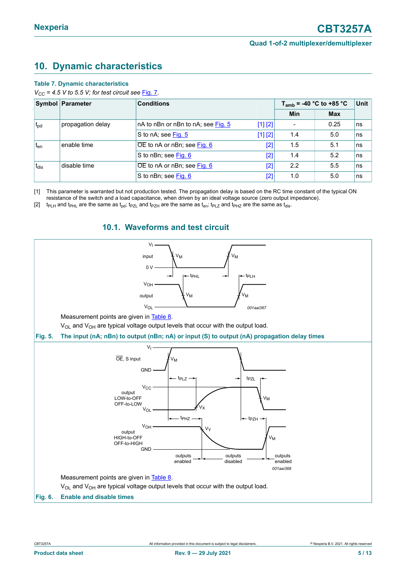# <span id="page-4-3"></span><span id="page-4-1"></span>**10. Dynamic characteristics**

#### **Table 7. Dynamic characteristics**

 $V_{CC}$  = 4.5 V to 5.5 V; for test circuit see  $Fig. 7$ .

|                           | <b>Symbol Parameter</b> | <b>Conditions</b>                                 |     | Unit<br>$T_{amb}$ = -40 °C to +85 °C |     |  |
|---------------------------|-------------------------|---------------------------------------------------|-----|--------------------------------------|-----|--|
|                           |                         |                                                   | Min | <b>Max</b>                           |     |  |
| $t_{\rm pd}$              | propagation delay       | nA to nBn or nBn to nA; see Fig. 5<br>$[1]$ $[2]$ |     | 0.25                                 | ns  |  |
|                           |                         | [1] [2]<br>S to nA; see Fig. 5                    | 1.4 | 5.0                                  | ns  |  |
| t <sub>en</sub>           | enable time             | $\overline{OE}$ to nA or nBn; see Fig. 6<br>$[2]$ | 1.5 | 5.1                                  | ns  |  |
|                           |                         | $[2]$<br>S to nBn; see <u>Fig. 6</u>              | 1.4 | 5.2                                  | Ins |  |
| disable time<br>$t_{dis}$ |                         | OE to nA or nBn; see Fig. 6<br>$[2]$              | 2.2 | 5.5                                  | ns  |  |
|                           |                         | [2]<br>S to nBn; see Fig. 6                       | 1.0 | 5.0                                  | ns  |  |

[1] This parameter is warranted but not production tested. The propagation delay is based on the RC time constant of the typical ON resistance of the switch and a load capacitance, when driven by an ideal voltage source (zero output impedance).

[2]  $t_{PLH}$  and t<sub>PHL</sub> are the same as t<sub>pd</sub>; t<sub>PZL</sub> and t<sub>PZH</sub> are the same as t<sub>en</sub>; t<sub>PLZ</sub> and t<sub>PHZ</sub> are the same as t<sub>dis</sub>.

### <span id="page-4-4"></span>**10.1. Waveforms and test circuit**

<span id="page-4-2"></span><span id="page-4-0"></span>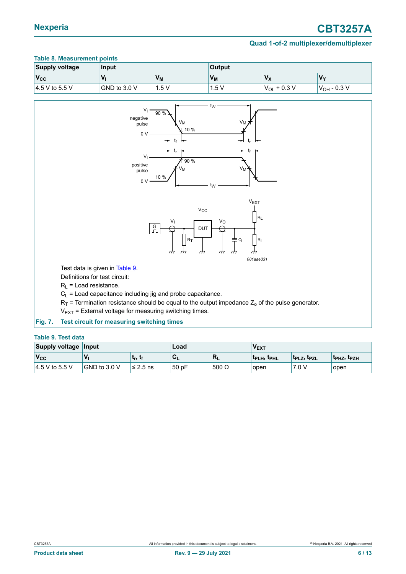# **Nexperia CBT3257A**

### **Quad 1-of-2 multiplexer/demultiplexer**

<span id="page-5-1"></span>

| TUDIO OF MICHAELICITICITY POINTS<br><b>Supply voltage</b> | Input        |                | Output |                                |                  |
|-----------------------------------------------------------|--------------|----------------|--------|--------------------------------|------------------|
| $V_{\rm CC}$                                              |              | V <sub>M</sub> | Vм     | Vy<br>$\overline{\phantom{a}}$ | Vv               |
| $14.5$ V to 5.5 V                                         | GND to 3.0 V | 1.5V           | 1.5V   | $V_{OL}$ + 0.3 V               | $V_{OH}$ - 0.3 V |

### **Table 8. Measurement points**

<span id="page-5-0"></span>

#### <span id="page-5-2"></span>**Table 9. Test data**

| <b>Supply voltage</b>           | <b>∐nput</b> |            | Load  |                           | <b>VEXT</b>       |                   |                                     |
|---------------------------------|--------------|------------|-------|---------------------------|-------------------|-------------------|-------------------------------------|
| $V_{\rm CC}$                    |              | , եր, եր   | vı    | $\mathbb{R}_{\mathsf{L}}$ | <b>TPLH, TPHL</b> | <b>TPLZ, TPZL</b> | t <sub>PHZ</sub> , t <sub>PZH</sub> |
| $ 4.5 \vee \text{to } 5.5 \vee$ | GND to 3.0 V | $≤ 2.5$ ns | 50 pF | $500 \Omega$              | open              | 7.0V              | open                                |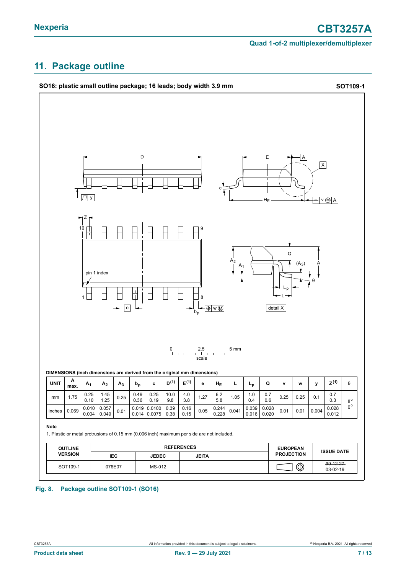# <span id="page-6-0"></span>**11. Package outline**



#### **Fig. 8. Package outline SOT109-1 (SO16)**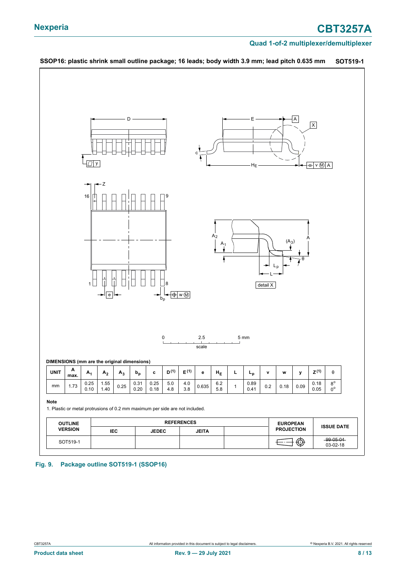

### **SSOP16: plastic shrink small outline package; 16 leads; body width 3.9 mm; lead pitch 0.635 mm SOT519-1**

**Fig. 9. Package outline SOT519-1 (SSOP16)**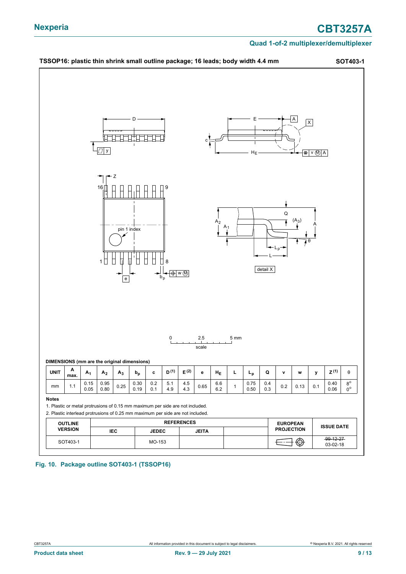

**Fig. 10. Package outline SOT403-1 (TSSOP16)**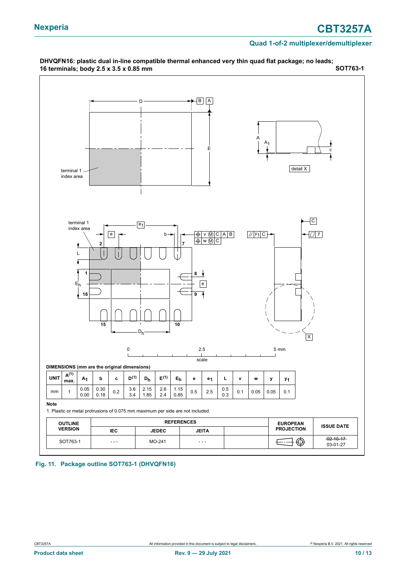

**Fig. 11. Package outline SOT763-1 (DHVQFN16)**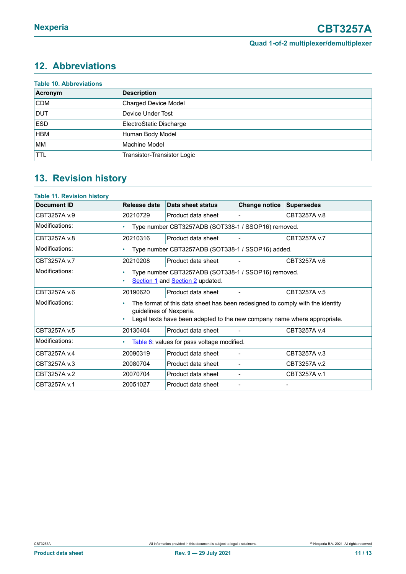# <span id="page-10-0"></span>**12. Abbreviations**

| <b>Table 10. Abbreviations</b> |                             |  |  |
|--------------------------------|-----------------------------|--|--|
| Acronym                        | <b>Description</b>          |  |  |
| <b>CDM</b>                     | <b>Charged Device Model</b> |  |  |
| <b>DUT</b>                     | Device Under Test           |  |  |
| <b>ESD</b>                     | ElectroStatic Discharge     |  |  |
| <b>HBM</b>                     | Human Body Model            |  |  |
| <b>MM</b>                      | Machine Model               |  |  |
| <b>TTL</b>                     | Transistor-Transistor Logic |  |  |

# <span id="page-10-1"></span>**13. Revision history**

| <b>Table 11. Revision history</b> |                                                                                         |                                                                                                                                                           |                      |                   |  |  |  |
|-----------------------------------|-----------------------------------------------------------------------------------------|-----------------------------------------------------------------------------------------------------------------------------------------------------------|----------------------|-------------------|--|--|--|
| Document ID                       | Release date                                                                            | Data sheet status                                                                                                                                         | <b>Change notice</b> | <b>Supersedes</b> |  |  |  |
| CBT3257A v.9                      | 20210729                                                                                | Product data sheet                                                                                                                                        |                      | CBT3257A v.8      |  |  |  |
| Modifications:                    |                                                                                         | Type number CBT3257ADB (SOT338-1 / SSOP16) removed.                                                                                                       |                      |                   |  |  |  |
| CBT3257A v.8                      | 20210316                                                                                | Product data sheet                                                                                                                                        |                      | CBT3257A v.7      |  |  |  |
| Modifications:                    |                                                                                         | Type number CBT3257ADB (SOT338-1 / SSOP16) added.                                                                                                         |                      |                   |  |  |  |
| CBT3257A v.7                      | 20210208                                                                                | Product data sheet                                                                                                                                        |                      | CBT3257A v.6      |  |  |  |
| Modifications:                    | Type number CBT3257ADB (SOT338-1 / SSOP16) removed.<br>Section 1 and Section 2 updated. |                                                                                                                                                           |                      |                   |  |  |  |
| CBT3257A v.6                      | 20190620                                                                                | Product data sheet                                                                                                                                        |                      | CBT3257A v.5      |  |  |  |
| Modifications:                    | guidelines of Nexperia.                                                                 | The format of this data sheet has been redesigned to comply with the identity<br>Legal texts have been adapted to the new company name where appropriate. |                      |                   |  |  |  |
| CBT3257A v.5                      | 20130404                                                                                | Product data sheet                                                                                                                                        |                      | CBT3257A v.4      |  |  |  |
| Modifications:                    |                                                                                         | Table 6: values for pass voltage modified.                                                                                                                |                      |                   |  |  |  |
| CBT3257A v.4                      | 20090319                                                                                | Product data sheet                                                                                                                                        |                      | CBT3257A v.3      |  |  |  |
| CBT3257A v.3                      | 20080704                                                                                | Product data sheet                                                                                                                                        |                      | CBT3257A v.2      |  |  |  |
| CBT3257A v.2                      | 20070704                                                                                | Product data sheet                                                                                                                                        |                      | CBT3257A v.1      |  |  |  |
| CBT3257A v.1                      | 20051027                                                                                | Product data sheet                                                                                                                                        |                      |                   |  |  |  |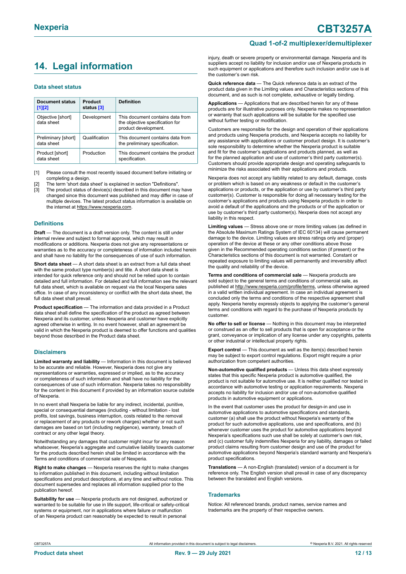# <span id="page-11-0"></span>**14. Legal information**

#### **Data sheet status**

| Document status<br>$[1]$ [2]      | <b>Product</b><br>status [3] | <b>Definition</b>                                                                           |
|-----------------------------------|------------------------------|---------------------------------------------------------------------------------------------|
| Objective [short]<br>data sheet   | Development                  | This document contains data from<br>the objective specification for<br>product development. |
| Preliminary [short]<br>data sheet | Qualification                | This document contains data from<br>the preliminary specification.                          |
| Product [short]<br>data sheet     | Production                   | This document contains the product<br>specification.                                        |

[1] Please consult the most recently issued document before initiating or completing a design.

- The term 'short data sheet' is explained in section "Definitions".
- [3] The product status of device(s) described in this document may have changed since this document was published and may differ in case of multiple devices. The latest product status information is available on the internet at [https://www.nexperia.com.](https://www.nexperia.com)

#### **Definitions**

**Draft** — The document is a draft version only. The content is still under internal review and subject to formal approval, which may result in modifications or additions. Nexperia does not give any representations or warranties as to the accuracy or completeness of information included herein and shall have no liability for the consequences of use of such information.

**Short data sheet** — A short data sheet is an extract from a full data sheet with the same product type number(s) and title. A short data sheet is intended for quick reference only and should not be relied upon to contain detailed and full information. For detailed and full information see the relevant full data sheet, which is available on request via the local Nexperia sales office. In case of any inconsistency or conflict with the short data sheet, the full data sheet shall prevail.

**Product specification** — The information and data provided in a Product data sheet shall define the specification of the product as agreed between Nexperia and its customer, unless Nexperia and customer have explicitly agreed otherwise in writing. In no event however, shall an agreement be valid in which the Nexperia product is deemed to offer functions and qualities beyond those described in the Product data sheet.

#### **Disclaimers**

**Limited warranty and liability** — Information in this document is believed to be accurate and reliable. However, Nexperia does not give any representations or warranties, expressed or implied, as to the accuracy or completeness of such information and shall have no liability for the consequences of use of such information. Nexperia takes no responsibility for the content in this document if provided by an information source outside of Nexperia.

In no event shall Nexperia be liable for any indirect, incidental, punitive, special or consequential damages (including - without limitation - lost profits, lost savings, business interruption, costs related to the removal or replacement of any products or rework charges) whether or not such damages are based on tort (including negligence), warranty, breach of contract or any other legal theory.

Notwithstanding any damages that customer might incur for any reason whatsoever, Nexperia's aggregate and cumulative liability towards customer for the products described herein shall be limited in accordance with the Terms and conditions of commercial sale of Nexperia.

**Right to make changes** — Nexperia reserves the right to make changes to information published in this document, including without limitation specifications and product descriptions, at any time and without notice. This document supersedes and replaces all information supplied prior to the publication hereof.

**Suitability for use** — Nexperia products are not designed, authorized or warranted to be suitable for use in life support, life-critical or safety-critical systems or equipment, nor in applications where failure or malfunction of an Nexperia product can reasonably be expected to result in personal

#### **Quad 1-of-2 multiplexer/demultiplexer**

injury, death or severe property or environmental damage. Nexperia and its suppliers accept no liability for inclusion and/or use of Nexperia products in such equipment or applications and therefore such inclusion and/or use is at the customer's own risk.

**Quick reference data** — The Quick reference data is an extract of the product data given in the Limiting values and Characteristics sections of this document, and as such is not complete, exhaustive or legally binding.

**Applications** — Applications that are described herein for any of these products are for illustrative purposes only. Nexperia makes no representation or warranty that such applications will be suitable for the specified use without further testing or modification.

Customers are responsible for the design and operation of their applications and products using Nexperia products, and Nexperia accepts no liability for any assistance with applications or customer product design. It is customer's sole responsibility to determine whether the Nexperia product is suitable and fit for the customer's applications and products planned, as well as for the planned application and use of customer's third party customer(s). Customers should provide appropriate design and operating safeguards to minimize the risks associated with their applications and products.

Nexperia does not accept any liability related to any default, damage, costs or problem which is based on any weakness or default in the customer's applications or products, or the application or use by customer's third party customer(s). Customer is responsible for doing all necessary testing for the customer's applications and products using Nexperia products in order to avoid a default of the applications and the products or of the application or use by customer's third party customer(s). Nexperia does not accept any liability in this respect.

**Limiting values** — Stress above one or more limiting values (as defined in the Absolute Maximum Ratings System of IEC 60134) will cause permanent damage to the device. Limiting values are stress ratings only and (proper) operation of the device at these or any other conditions above those given in the Recommended operating conditions section (if present) or the Characteristics sections of this document is not warranted. Constant or repeated exposure to limiting values will permanently and irreversibly affect the quality and reliability of the device.

**Terms and conditions of commercial sale** — Nexperia products are sold subject to the general terms and conditions of commercial sale, as published at [http://www.nexperia.com/profile/terms,](http://www.nexperia.com/profile/terms) unless otherwise agreed in a valid written individual agreement. In case an individual agreement is concluded only the terms and conditions of the respective agreement shall apply. Nexperia hereby expressly objects to applying the customer's general terms and conditions with regard to the purchase of Nexperia products by customer.

**No offer to sell or license** — Nothing in this document may be interpreted or construed as an offer to sell products that is open for acceptance or the grant, conveyance or implication of any license under any copyrights, patents or other industrial or intellectual property rights.

**Export control** — This document as well as the item(s) described herein may be subject to export control regulations. Export might require a prior authorization from competent authorities.

**Non-automotive qualified products** — Unless this data sheet expressly states that this specific Nexperia product is automotive qualified, the product is not suitable for automotive use. It is neither qualified nor tested in accordance with automotive testing or application requirements. Nexperia accepts no liability for inclusion and/or use of non-automotive qualified products in automotive equipment or applications.

In the event that customer uses the product for design-in and use in automotive applications to automotive specifications and standards, customer (a) shall use the product without Nexperia's warranty of the product for such automotive applications, use and specifications, and (b) whenever customer uses the product for automotive applications beyond Nexperia's specifications such use shall be solely at customer's own risk, and (c) customer fully indemnifies Nexperia for any liability, damages or failed product claims resulting from customer design and use of the product for automotive applications beyond Nexperia's standard warranty and Nexperia's product specifications.

**Translations** — A non-English (translated) version of a document is for reference only. The English version shall prevail in case of any discrepancy between the translated and English versions.

#### **Trademarks**

Notice: All referenced brands, product names, service names and trademarks are the property of their respective owners.